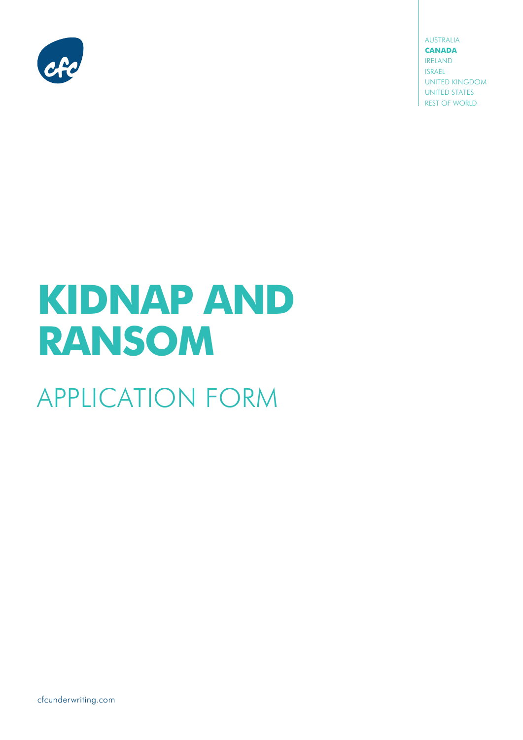

**AUSTRALIA CANADA IRELAND ISRAEL UNITED KINGDOM UNITED STATES** REST OF WORLD

# **KIDNAP AND RANSOM**

# **APPLICATION FORM**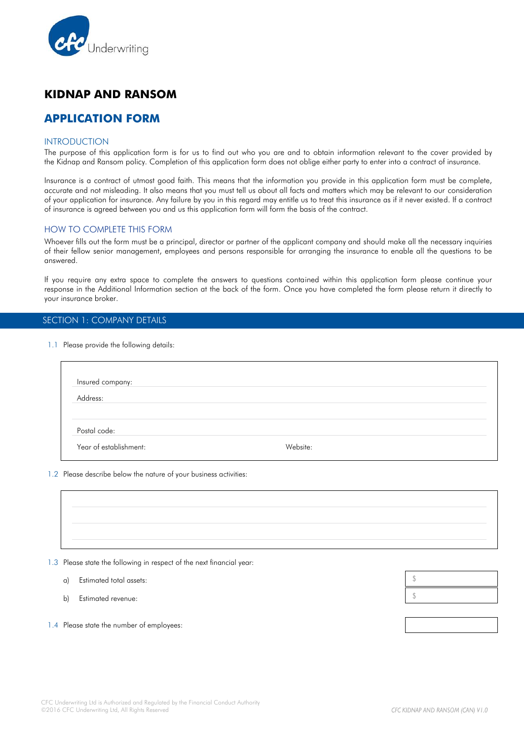

# **KIDNAP AND RANSOM**

## **APPLICATION FORM**

#### **INTRODUCTION**

The purpose of this application form is for us to find out who you are and to obtain information relevant to the cover provided by the Kidnap and Ransom policy. Completion of this application form does not oblige either party to enter into a contract of insurance.

Insurance is a contract of utmost good faith. This means that the information you provide in this application form must be complete, accurate and not misleading. It also means that you must tell us about all facts and matters which may be relevant to our consideration of your application for insurance. Any failure by you in this regard may entitle us to treat this insurance as if it never existed. If a contract of insurance is agreed between you and us this application form will form the basis of the contract.

#### HOW TO COMPLETE THIS FORM

Whoever fills out the form must be a principal, director or partner of the applicant company and should make all the necessary inquiries of their fellow senior management, employees and persons responsible for arranging the insurance to enable all the questions to be answered.

If you require any extra space to complete the answers to questions contained within this application form please continue your response in the Additional Information section at the back of the form. Once you have completed the form please return it directly to your insurance broker.

#### SECTION 1: COMPANY DETAILS

1.1 Please provide the following details:

| Insured company:       |          |  |
|------------------------|----------|--|
| Address:               |          |  |
| Postal code:           |          |  |
| Year of establishment: | Website: |  |

#### 1.2 Please describe below the nature of your business activities:



1.3 Please state the following in respect of the next financial year:

a) Estimated total assets:

b) Estimated revenue:

1.4 Please state the number of employees:

\$ \$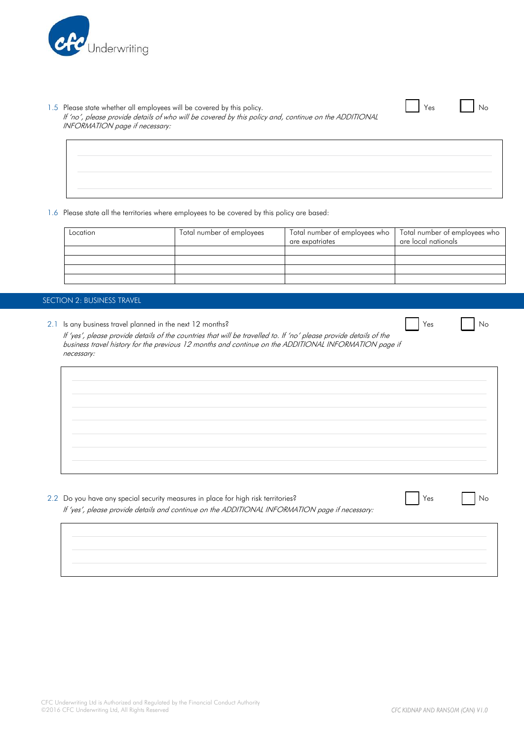

#### 1.5 Please state whether all employees will be covered by this policy. No was not well as No Yes No No No No

If 'no', please provide details of who will be covered by this policy and, continue on the ADDITIONAL INFORMATION page if necessary:

1.6 Please state all the territories where employees to be covered by this policy are based:

| Location | Total number of employees | Total number of employees who<br>are expatriates | Total number of employees who<br>are local nationals |
|----------|---------------------------|--------------------------------------------------|------------------------------------------------------|
|          |                           |                                                  |                                                      |
|          |                           |                                                  |                                                      |
|          |                           |                                                  |                                                      |
|          |                           |                                                  |                                                      |

#### SECTION 2: BUSINESS TRAVEL

2.1 Is any business travel planned in the next 12 months? No example 2.1 In the set of the No example 2.1 In No

If 'yes', please provide details of the countries that will be travelled to. If 'no' please provide details of the business travel history for the previous 12 months and continue on the ADDITIONAL INFORMATION page if necessary:

2.2 Do you have any special security measures in place for high risk territories? Yes Note 1, Note 1, Note 1, No

If 'yes', please provide details and continue on the ADDITIONAL INFORMATION page if necessary:

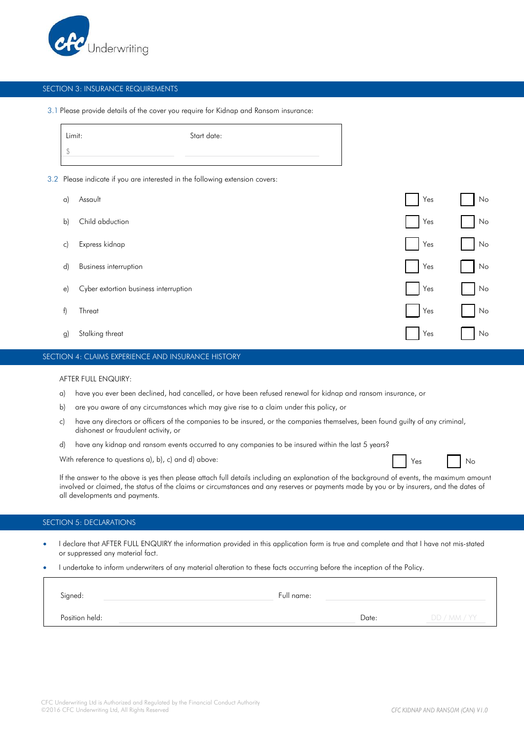

#### SECTION 3: INSURANCE REQUIREMENTS

#### 3.1 Please provide details of the cover you require for Kidnap and Ransom insurance:

| Limit: | Start date: |
|--------|-------------|
|        |             |

3.2 Please indicate if you are interested in the following extension covers:

| $\alpha$     | Assault                               | Yes | No |
|--------------|---------------------------------------|-----|----|
| $\mathsf{b}$ | Child abduction                       | Yes | No |
| $\mathsf{C}$ | Express kidnap                        | Yes | No |
| $\mathsf{d}$ | <b>Business interruption</b>          | Yes | No |
| $\epsilon$   | Cyber extortion business interruption | Yes | No |
| f)           | Threat                                | Yes | No |
| g)           | Stalking threat                       | Yes | No |

#### SECTION 4: CLAIMS EXPERIENCE AND INSURANCE HISTORY

#### AFTER FULL ENQUIRY:

- a) have you ever been declined, had cancelled, or have been refused renewal for kidnap and ransom insurance, or
- b) are you aware of any circumstances which may give rise to a claim under this policy, or
- c) have any directors or officers of the companies to be insured, or the companies themselves, been found guilty of any criminal, dishonest or fraudulent activity, or
- d) have any kidnap and ransom events occurred to any companies to be insured within the last 5 years?

With reference to questions a), b), c) and d) above:  $\Box$  Yes  $\Box$  No

If the answer to the above is yes then please attach full details including an explanation of the background of events, the maximum amount involved or claimed, the status of the claims or circumstances and any reserves or payments made by you or by insurers, and the dates of all developments and payments.

#### SECTION 5: DECLARATIONS

- I declare that AFTER FULL ENQUIRY the information provided in this application form is true and complete and that I have not mis-stated or suppressed any material fact.
- I undertake to inform underwriters of any material alteration to these facts occurring before the inception of the Policy.

| Signed:        | Full name: |       |              |
|----------------|------------|-------|--------------|
| Position held: |            | Date: | DD / MM / YY |